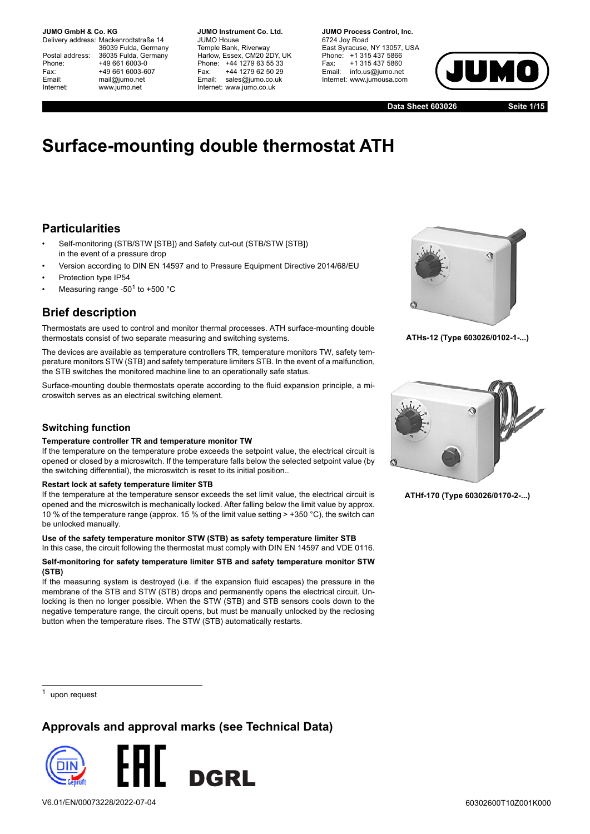Delivery address: Mackenrodtstraße 14 36039 Fulda, Germany Postal address: 36035 Fulda, Germany Phone: +49 661 6003-0 Fax: +49 661 6003-607 Email: mail@jumo.net Internet: www.jumo.net

**JUMO Instrument Co. Ltd.** JUMO House Temple Bank, Riverway Harlow, Essex, CM20 2DY, UK Phone: +44 1279 63 55 33 Fax: +44 1279 62 50 29 Email: sales@jumo.co.uk Internet: www.jumo.co.uk

**JUMO Process Control, Inc.** 6724 Joy Road East Syracuse, NY 13057, USA Phone: +1 315 437 5866 Fax: +1 315 437 5860 Email: info.us@jumo.net Internet: www.jumousa.com



**Data Sheet 603026**

**Seite 1/15**

# **Surface-mounting double thermostat ATH**

## **Particularities**

- Self-monitoring (STB/STW [STB]) and Safety cut-out (STB/STW [STB]) in the event of a pressure drop
- Version according to DIN EN 14597 and to Pressure Equipment Directive 2014/68/EU
- Protection type IP54
- Measuring range -50<sup>1</sup> to +500  $^{\circ}$ C

## **Brief description**

Thermostats are used to control and monitor thermal processes. ATH surface-mounting double thermostats consist of two separate measuring and switching systems.

The devices are available as temperature controllers TR, temperature monitors TW, safety temperature monitors STW (STB) and safety temperature limiters STB. In the event of a malfunction, the STB switches the monitored machine line to an operationally safe status.

Surface-mounting double thermostats operate according to the fluid expansion principle, a microswitch serves as an electrical switching element.

### **Switching function**

#### **Temperature controller TR and temperature monitor TW**

If the temperature on the temperature probe exceeds the setpoint value, the electrical circuit is opened or closed by a microswitch. If the temperature falls below the selected setpoint value (by the switching differential), the microswitch is reset to its initial position..

#### **Restart lock at safety temperature limiter STB**

If the temperature at the temperature sensor exceeds the set limit value, the electrical circuit is opened and the microswitch is mechanically locked. After falling below the limit value by approx. 10 % of the temperature range (approx. 15 % of the limit value setting > +350 °C), the switch can be unlocked manually.

### **Use of the safety temperature monitor STW (STB) as safety temperature limiter STB**

In this case, the circuit following the thermostat must comply with DIN EN 14597 and VDE 0116.

### **Self-monitoring for safety temperature limiter STB and safety temperature monitor STW (STB)**

If the measuring system is destroyed (i.e. if the expansion fluid escapes) the pressure in the membrane of the STB and STW (STB) drops and permanently opens the electrical circuit. Unlocking is then no longer possible. When the STW (STB) and STB sensors cools down to the negative temperature range, the circuit opens, but must be manually unlocked by the reclosing button when the temperature rises. The STW (STB) automatically restarts.

**ATHs-12 (Type 603026/0102-1-...)**



**ATHf-170 (Type 603026/0170-2-...)**

upon request

## **Approvals and approval marks (see Technical Data)**

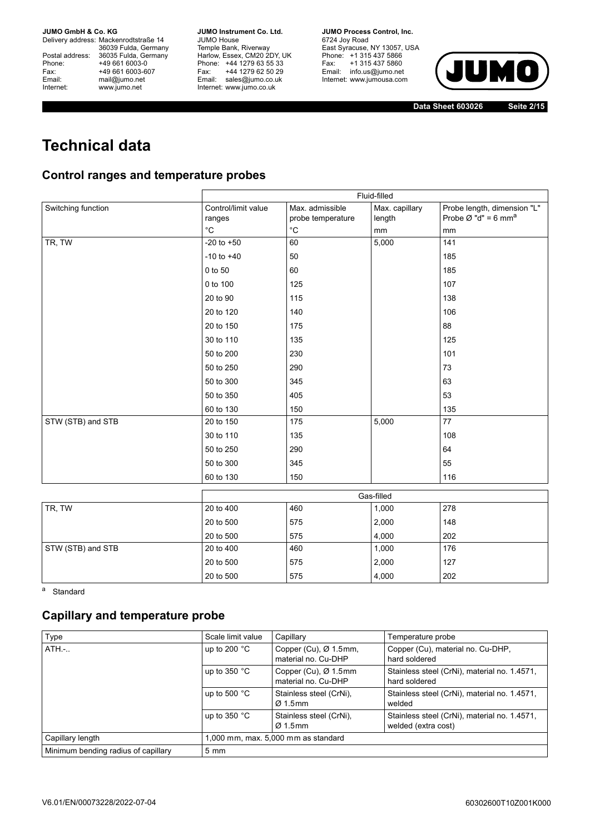Delivery address: Mackenrodtstraße 14 36039 Fulda, Germany Postal address: 36035 Fulda, Germany Phone: +49 661 6003-0<br>
Fax: +49 661 6003-6<br>
Email: mail@jumo.net +49 661 6003-607 mail@jumo.net Internet: www.jumo.net

**JUMO Instrument Co. Ltd.** JUMO House Temple Bank, Riverway Harlow, Essex, CM20 2DY, UK Phone: +44 1279 63 55 33 Fax: +44 1279 62 50 29 Email: sales@jumo.co.uk Internet: www.jumo.co.uk

**JUMO Process Control, Inc.** 6724 Joy Road East Syracuse, NY 13057, USA Phone: +1 315 437 5866 Fax: +1 315 437 5860 Email: info.us@jumo.net Internet: www.jumousa.com



**Data Sheet 603026**

**Seite 2/15**

# **Technical data**

# **Control ranges and temperature probes**

|                    |                               | Fluid-filled                         |                          |                                                                            |  |  |
|--------------------|-------------------------------|--------------------------------------|--------------------------|----------------------------------------------------------------------------|--|--|
| Switching function | Control/limit value<br>ranges | Max. admissible<br>probe temperature | Max. capillary<br>length | Probe length, dimension "L"<br>Probe $\varnothing$ "d" = 6 mm <sup>a</sup> |  |  |
|                    | $^{\circ}C$                   | $^{\circ}$ C                         | mm                       | mm                                                                         |  |  |
| TR, TW             | $-20$ to $+50$                | 60                                   | 5,000                    | 141                                                                        |  |  |
|                    | $-10$ to $+40$                | 50                                   |                          | 185                                                                        |  |  |
|                    | 0 to 50                       | 60                                   |                          | 185                                                                        |  |  |
|                    | 0 to 100                      | 125                                  |                          | 107                                                                        |  |  |
|                    | 20 to 90                      | 115                                  |                          | 138                                                                        |  |  |
|                    | 20 to 120                     | 140                                  |                          | 106                                                                        |  |  |
|                    | 20 to 150                     | 175                                  |                          | 88                                                                         |  |  |
|                    | 30 to 110                     | 135                                  |                          | 125                                                                        |  |  |
|                    | 50 to 200                     | 230                                  |                          | 101                                                                        |  |  |
|                    | 50 to 250                     | 290                                  |                          | 73                                                                         |  |  |
|                    | 50 to 300                     | 345                                  |                          | 63                                                                         |  |  |
|                    | 50 to 350                     | 405                                  |                          | 53                                                                         |  |  |
|                    | 60 to 130                     | 150                                  |                          | 135                                                                        |  |  |
| STW (STB) and STB  | 20 to 150                     | 175                                  | 5,000                    | 77                                                                         |  |  |
|                    | 30 to 110                     | 135                                  |                          | 108                                                                        |  |  |
|                    | 50 to 250                     | 290                                  |                          | 64                                                                         |  |  |
|                    | 50 to 300                     | 345                                  |                          | 55                                                                         |  |  |
|                    | 60 to 130                     | 150                                  |                          | 116                                                                        |  |  |
|                    |                               |                                      | Gas-filled               |                                                                            |  |  |
| TR, TW             | 20 to 400                     | 460                                  | 1,000                    | 278                                                                        |  |  |
|                    | 20 to 500                     | 575                                  | 2,000                    | 148                                                                        |  |  |
|                    | 20 to 500                     | 575                                  | 4,000                    | 202                                                                        |  |  |
| STW (STB) and STB  | 20 to 400                     | 460                                  | 1,000                    | 176                                                                        |  |  |
|                    | 20 to 500                     | 575                                  | 2,000                    | 127                                                                        |  |  |
|                    | 20 to 500                     | 575                                  | 4,000                    | 202                                                                        |  |  |

a Standard

# **Capillary and temperature probe**

| Type                                | Scale limit value                   | Capillary                                                | Temperature probe                                                   |
|-------------------------------------|-------------------------------------|----------------------------------------------------------|---------------------------------------------------------------------|
| $ATH.-.$                            | up to 200 $\degree$ C               | Copper (Cu), $\varnothing$ 1.5mm,<br>material no. Cu-DHP | Copper (Cu), material no. Cu-DHP,<br>hard soldered                  |
|                                     | up to 350 $^{\circ}$ C              | Copper (Cu), Ø 1.5mm<br>material no. Cu-DHP              | Stainless steel (CrNi), material no. 1.4571,<br>hard soldered       |
|                                     | up to 500 $^{\circ}$ C              | Stainless steel (CrNi).<br>$\varnothing$ 1.5mm           | Stainless steel (CrNi), material no. 1.4571,<br>welded              |
|                                     | up to $350 °C$                      | Stainless steel (CrNi),<br>$\varnothing$ 1.5mm           | Stainless steel (CrNi), material no. 1.4571,<br>welded (extra cost) |
| Capillary length                    | 1,000 mm, max. 5,000 mm as standard |                                                          |                                                                     |
| Minimum bending radius of capillary | $5 \, \text{mm}$                    |                                                          |                                                                     |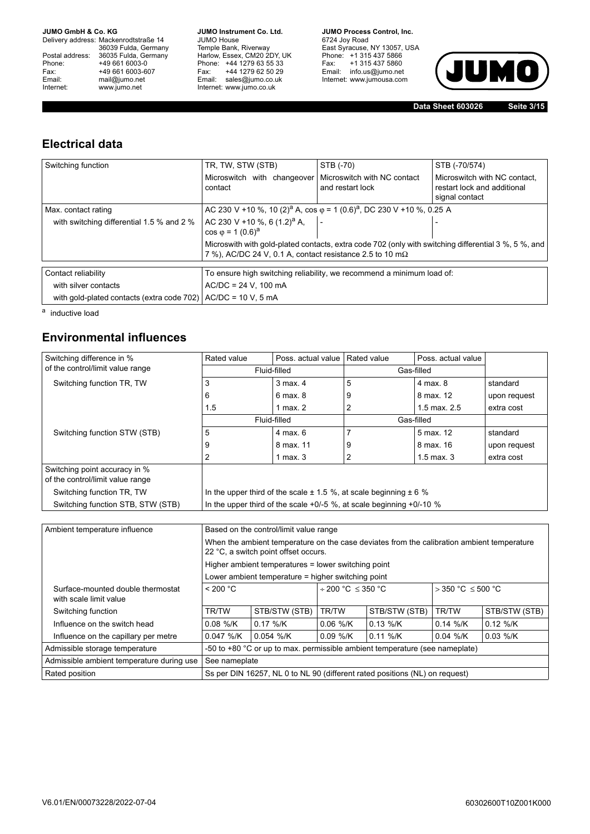Delivery address: Mackenrodtstraße 14 36039 Fulda, Germany Postal address: 36035 Fulda, Germany Phone: +49 661 6003-0<br>
Fax: +49 661 6003-6<br>
Email: mail@jumo.net +49 661 6003-607 mail@jumo.net Internet: www.jumo.net

**JUMO Instrument Co. Ltd.** JUMO House Temple Bank, Riverway Harlow, Essex, CM20 2DY, UK Phone: +44 1279 63 55 33 Fax: +44 1279 62 50 29 Email: sales@jumo.co.uk Internet: www.jumo.co.uk

**JUMO Process Control, Inc.** 6724 Joy Road East Syracuse, NY 13057, USA Phone: +1 315 437 5866 Fax: +1 315 437 5860 Email: info.us@jumo.net Internet: www.jumousa.com



**Data Sheet 603026**

**Seite 3/15**

# **Electrical data**

| Switching function                                               | TR, TW, STW (STB)                                                | STB (-70)                                                                                            | STB (-70/574)                                                                                        |
|------------------------------------------------------------------|------------------------------------------------------------------|------------------------------------------------------------------------------------------------------|------------------------------------------------------------------------------------------------------|
|                                                                  | Microswitch with changeover<br>contact                           | Microswitch with NC contact<br>and restart lock                                                      | Microswitch with NC contact.<br>restart lock and additional<br>signal contact                        |
| Max. contact rating                                              |                                                                  | AC 230 V +10 %, 10 (2) <sup>a</sup> A, cos $\varphi$ = 1 (0.6) <sup>a</sup> , DC 230 V +10 %, 0.25 A |                                                                                                      |
| with switching differential 1.5 % and 2 %                        | AC 230 V +10 %, 6 $(1.2)^a$ A,<br>$\cos \varphi = 1 (0.6)^a$     |                                                                                                      |                                                                                                      |
|                                                                  | 7 %), AC/DC 24 V, 0.1 A, contact resistance 2.5 to 10 m $\Omega$ |                                                                                                      | Microswith with gold-plated contacts, extra code 702 (only with switching differential 3 %, 5 %, and |
| Contact reliability                                              |                                                                  | To ensure high switching reliability, we recommend a minimum load of:                                |                                                                                                      |
| with silver contacts                                             | $AC/DC = 24$ V, 100 mA                                           |                                                                                                      |                                                                                                      |
| with gold-plated contacts (extra code 702) $AC/DC = 10 V$ , 5 mA |                                                                  |                                                                                                      |                                                                                                      |

a inductive load

# **Environmental influences**

| Switching difference in %                                         | Rated value                                                               | Poss, actual value                                                       | <b>Rated value</b> | Poss, actual value |              |
|-------------------------------------------------------------------|---------------------------------------------------------------------------|--------------------------------------------------------------------------|--------------------|--------------------|--------------|
| of the control/limit value range                                  | Fluid-filled                                                              |                                                                          | Gas-filled         |                    |              |
| Switching function TR, TW                                         | 3                                                                         | 3 max. 4                                                                 | 5                  | 4 max. 8           | standard     |
|                                                                   | 6                                                                         | 6 max. 8                                                                 | 9                  | 8 max. 12          | upon request |
|                                                                   | 1.5                                                                       | 1 max. $2$                                                               | 2                  | 1.5 max, $2.5$     | extra cost   |
|                                                                   | Fluid-filled                                                              |                                                                          | Gas-filled         |                    |              |
| Switching function STW (STB)                                      | 5                                                                         | 4 max. 6                                                                 |                    | 5 max. 12          | standard     |
|                                                                   | 9                                                                         | 8 max. 11                                                                | 9                  | 8 max. 16          | upon request |
|                                                                   | 2                                                                         | 1 max. 3                                                                 | 2                  | $1.5$ max, $3$     | extra cost   |
| Switching point accuracy in %<br>of the control/limit value range |                                                                           |                                                                          |                    |                    |              |
| Switching function TR, TW                                         | In the upper third of the scale $\pm$ 1.5 %, at scale beginning $\pm$ 6 % |                                                                          |                    |                    |              |
| Switching function STB, STW (STB)                                 |                                                                           | In the upper third of the scale $+0/-5$ %, at scale beginning $+0/-10$ % |                    |                    |              |

| Ambient temperature influence                               | Based on the control/limit value range                                                                                             |                                                    |                             |                                                                             |                          |               |
|-------------------------------------------------------------|------------------------------------------------------------------------------------------------------------------------------------|----------------------------------------------------|-----------------------------|-----------------------------------------------------------------------------|--------------------------|---------------|
|                                                             | When the ambient temperature on the case deviates from the calibration ambient temperature<br>22 °C, a switch point offset occurs. |                                                    |                             |                                                                             |                          |               |
|                                                             | Higher ambient temperatures = lower switching point                                                                                |                                                    |                             |                                                                             |                          |               |
|                                                             |                                                                                                                                    | Lower ambient temperature = higher switching point |                             |                                                                             |                          |               |
| Surface-mounted double thermostat<br>with scale limit value | < 200 °C                                                                                                                           |                                                    | $\div$ 200 °C $\leq$ 350 °C |                                                                             | $>$ 350 °C $\leq$ 500 °C |               |
| Switching function                                          | STB/STW (STB)<br><b>TR/TW</b>                                                                                                      |                                                    | TR/TW                       | STB/STW (STB)                                                               | <b>TR/TW</b>             | STB/STW (STB) |
| Influence on the switch head                                | $0.08 \frac{9}{10}$ K<br>$0.17 \%$ /K                                                                                              |                                                    | $0.06 \frac{9}{10}$         | $0.13 \%$ /K                                                                | $0.14 \frac{9}{1}$       | $0.12 \%$ /K  |
| Influence on the capillary per metre                        | $0.047$ %/K                                                                                                                        | $0.054$ %/K                                        | $0.09 \%$ /K                | $0.11 \%$ /K                                                                | $0.04$ %/K               | $0.03 \%$ /K  |
| Admissible storage temperature                              | -50 to $+80$ °C or up to max, permissible ambient temperature (see nameplate)                                                      |                                                    |                             |                                                                             |                          |               |
| Admissible ambient temperature during use                   | See nameplate                                                                                                                      |                                                    |                             |                                                                             |                          |               |
| Rated position                                              |                                                                                                                                    |                                                    |                             | Ss per DIN 16257, NL 0 to NL 90 (different rated positions (NL) on request) |                          |               |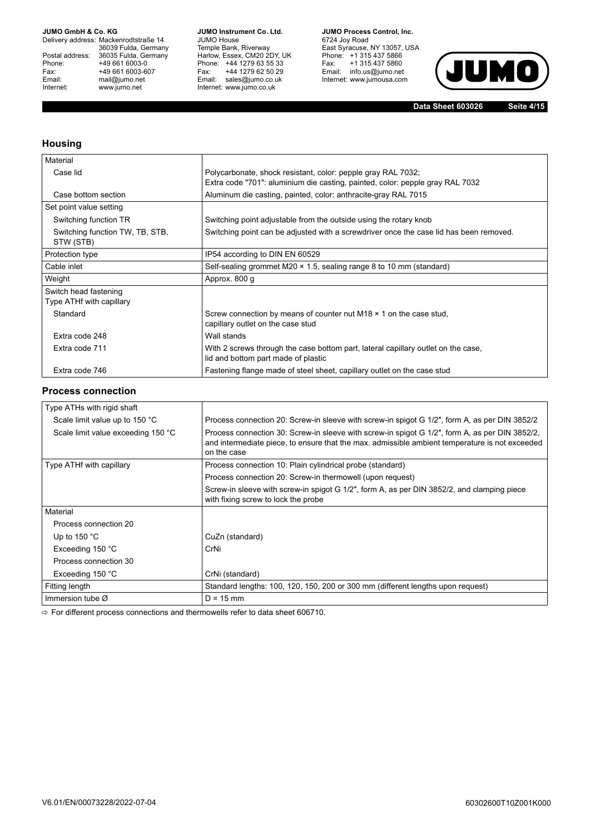Delivery address: Mackenrodtstraße 14 36039 Fulda, Germany Postal address: 36035 Fulda, Germany Phone: +49 661 6003-0<br>
Fax: +49 661 6003-6<br>
Email: mail@jumo.net +49 661 6003-607 mail@jumo.net Internet: www.jumo.net

**JUMO Instrument Co. Ltd.** JUMO House Temple Bank, Riverway Harlow, Essex, CM20 2DY, UK Phone: +44 1279 63 55 33 Fax: +44 1279 62 50 29 Email: sales@jumo.co.uk Internet: www.jumo.co.uk

**JUMO Process Control, Inc.** 6724 Joy Road East Syracuse, NY 13057, USA Phone: +1 315 437 5866 Fax: +1 315 437 5860 Email: info.us@jumo.net Internet: www.jumousa.com



**Data Sheet 603026**

**Seite 4/15**

### **Housing**

| Material                                          |                                                                                                                                               |
|---------------------------------------------------|-----------------------------------------------------------------------------------------------------------------------------------------------|
| Case lid                                          | Polycarbonate, shock resistant, color: pepple gray RAL 7032;<br>Extra code "701": aluminium die casting, painted, color: pepple gray RAL 7032 |
| Case bottom section                               | Aluminum die casting, painted, color: anthracite-gray RAL 7015                                                                                |
| Set point value setting                           |                                                                                                                                               |
| Switching function TR                             | Switching point adjustable from the outside using the rotary knob                                                                             |
| Switching function TW, TB, STB,<br>STW (STB)      | Switching point can be adjusted with a screwdriver once the case lid has been removed.                                                        |
| Protection type                                   | IP54 according to DIN EN 60529                                                                                                                |
| Cable inlet                                       | Self-sealing grommet M20 $\times$ 1.5, sealing range 8 to 10 mm (standard)                                                                    |
| Weight                                            | Approx. 800 g                                                                                                                                 |
| Switch head fastening<br>Type ATHf with capillary |                                                                                                                                               |
| Standard                                          | Screw connection by means of counter nut M18 $\times$ 1 on the case stud,<br>capillary outlet on the case stud                                |
| Extra code 248                                    | Wall stands                                                                                                                                   |
| Extra code 711                                    | With 2 screws through the case bottom part, lateral capillary outlet on the case,<br>lid and bottom part made of plastic                      |
| Extra code 746                                    | Fastening flange made of steel sheet, capillary outlet on the case stud                                                                       |

### **Process connection**

| Type ATHs with rigid shaft         |                                                                                                                                                                                                                 |
|------------------------------------|-----------------------------------------------------------------------------------------------------------------------------------------------------------------------------------------------------------------|
| Scale limit value up to 150 °C     | Process connection 20: Screw-in sleeve with screw-in spigot G 1/2", form A, as per DIN 3852/2                                                                                                                   |
| Scale limit value exceeding 150 °C | Process connection 30: Screw-in sleeve with screw-in spigot G 1/2", form A, as per DIN 3852/2,<br>and intermediate piece, to ensure that the max, admissible ambient temperature is not exceeded<br>on the case |
| Type ATHf with capillary           | Process connection 10: Plain cylindrical probe (standard)                                                                                                                                                       |
|                                    | Process connection 20: Screw-in thermowell (upon request)                                                                                                                                                       |
|                                    | Screw-in sleeve with screw-in spigot G 1/2", form A, as per DIN 3852/2, and clamping piece<br>with fixing screw to lock the probe                                                                               |
| Material                           |                                                                                                                                                                                                                 |
| Process connection 20              |                                                                                                                                                                                                                 |
| Up to $150 °C$                     | CuZn (standard)                                                                                                                                                                                                 |
| Exceeding 150 °C                   | CrNi                                                                                                                                                                                                            |
| Process connection 30              |                                                                                                                                                                                                                 |
| Exceeding 150 °C                   | CrNi (standard)                                                                                                                                                                                                 |
| Fitting length                     | Standard lengths: 100, 120, 150, 200 or 300 mm (different lengths upon request)                                                                                                                                 |
| Immersion tube $\varnothing$       | $D = 15$ mm                                                                                                                                                                                                     |

 $\Rightarrow$  For different process connections and thermowells refer to data sheet 606710.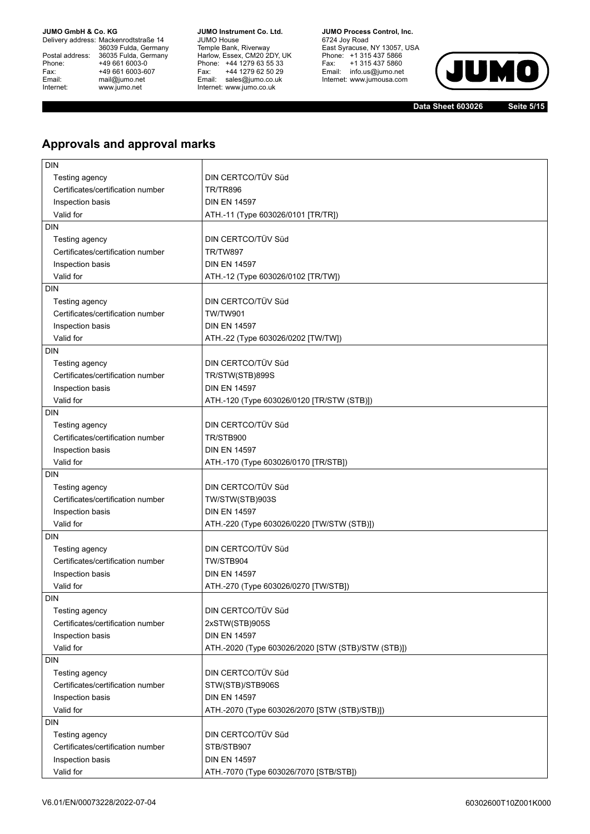Delivery address: Mackenrodtstraße 14 36039 Fulda, Germany Postal address: 36035 Fulda, Germany Phone: +49 661 6003-0<br>
Fax: +49 661 6003-6<br>
Email: mail@jumo.net +49 661 6003-607 mail@jumo.net Internet: www.jumo.net

**JUMO Instrument Co. Ltd.** JUMO House Temple Bank, Riverway Harlow, Essex, CM20 2DY, UK Phone: +44 1279 63 55 33 Fax: +44 1279 62 50 29 Email: sales@jumo.co.uk Internet: www.jumo.co.uk

**JUMO Process Control, Inc.** 6724 Joy Road East Syracuse, NY 13057, USA Phone: +1 315 437 5866 Fax: +1 315 437 5860 Email: info.us@jumo.net Internet: www.jumousa.com



**Data Sheet 603026**

**Seite 5/15**

# **Approvals and approval marks**

| <b>DIN</b>                        |                                                    |
|-----------------------------------|----------------------------------------------------|
| Testing agency                    | DIN CERTCO/TÜV Süd                                 |
| Certificates/certification number | <b>TR/TR896</b>                                    |
| Inspection basis                  | <b>DIN EN 14597</b>                                |
| Valid for                         | ATH.-11 (Type 603026/0101 [TR/TR])                 |
| <b>DIN</b>                        |                                                    |
| Testing agency                    | DIN CERTCO/TÜV Süd                                 |
| Certificates/certification number | <b>TR/TW897</b>                                    |
| Inspection basis                  | <b>DIN EN 14597</b>                                |
| Valid for                         | ATH.-12 (Type 603026/0102 [TR/TW])                 |
| <b>DIN</b>                        |                                                    |
| Testing agency                    | DIN CERTCO/TÜV Süd                                 |
| Certificates/certification number | <b>TW/TW901</b>                                    |
| Inspection basis                  | <b>DIN EN 14597</b>                                |
| Valid for                         | ATH.-22 (Type 603026/0202 [TW/TW])                 |
| <b>DIN</b>                        |                                                    |
| Testing agency                    | DIN CERTCO/TÜV Süd                                 |
| Certificates/certification number | TR/STW(STB)899S                                    |
| Inspection basis                  | <b>DIN EN 14597</b>                                |
| Valid for                         | ATH.-120 (Type 603026/0120 [TR/STW (STB)])         |
| <b>DIN</b>                        |                                                    |
| Testing agency                    | DIN CERTCO/TÜV Süd                                 |
| Certificates/certification number | TR/STB900                                          |
| Inspection basis                  | <b>DIN EN 14597</b>                                |
| Valid for                         |                                                    |
| <b>DIN</b>                        | ATH.-170 (Type 603026/0170 [TR/STB])               |
|                                   | DIN CERTCO/TÜV Süd                                 |
| Testing agency                    |                                                    |
| Certificates/certification number | TW/STW(STB)903S                                    |
| Inspection basis                  | <b>DIN EN 14597</b>                                |
| Valid for                         | ATH.-220 (Type 603026/0220 [TW/STW (STB)])         |
| <b>DIN</b>                        |                                                    |
| Testing agency                    | DIN CERTCO/TÜV Süd                                 |
| Certificates/certification number | TW/STB904                                          |
| Inspection basis                  | <b>DIN EN 14597</b>                                |
| Valid for                         | ATH.-270 (Type 603026/0270 [TW/STB])               |
| <b>DIN</b>                        |                                                    |
| Testing agency                    | DIN CERTCO/TÜV Süd                                 |
| Certificates/certification number | 2xSTW(STB)905S                                     |
| Inspection basis                  | <b>DIN EN 14597</b>                                |
| Valid for                         | ATH.-2020 (Type 603026/2020 [STW (STB)/STW (STB)]) |
| <b>DIN</b>                        |                                                    |
| Testing agency                    | DIN CERTCO/TÜV Süd                                 |
| Certificates/certification number | STW(STB)/STB906S                                   |
| Inspection basis                  | <b>DIN EN 14597</b>                                |
| Valid for                         | ATH.-2070 (Type 603026/2070 [STW (STB)/STB)])      |
| <b>DIN</b>                        |                                                    |
| Testing agency                    | DIN CERTCO/TÜV Süd                                 |
| Certificates/certification number | STB/STB907                                         |
| Inspection basis                  | <b>DIN EN 14597</b>                                |
| Valid for                         | ATH.-7070 (Type 603026/7070 [STB/STB])             |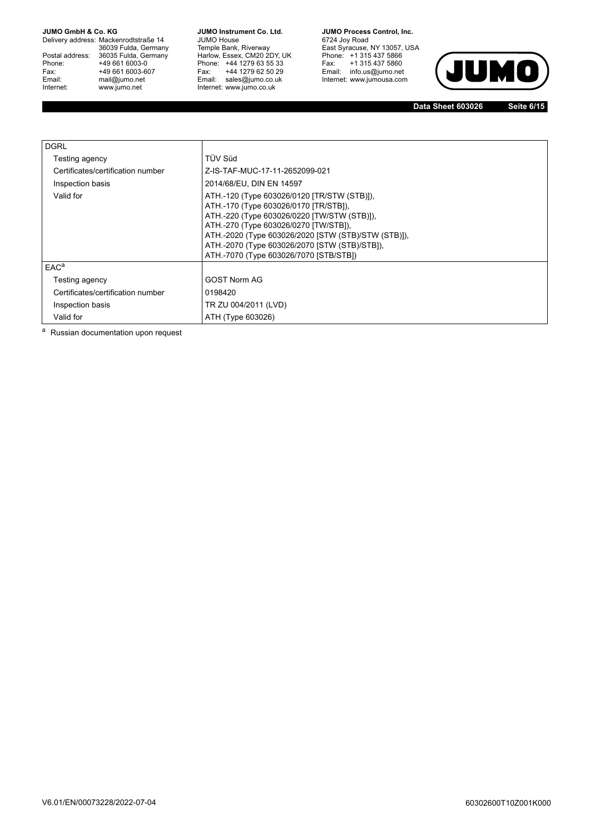Delivery address: Mackenrodtstraße 14 36039 Fulda, Germany Postal address: 36035 Fulda, Germany Phone: +49 661 6003-0<br>
Fax: +49 661 6003-6<br>
Email: mail@jumo.net +49 661 6003-607 mail@jumo.net Internet: www.jumo.net

**JUMO Instrument Co. Ltd.** JUMO House Temple Bank, Riverway Harlow, Essex, CM20 2DY, UK Phone: +44 1279 63 55 33 Fax: +44 1279 62 50 29 Email: sales@jumo.co.uk Internet: www.jumo.co.uk

**JUMO Process Control, Inc.** 6724 Joy Road East Syracuse, NY 13057, USA Phone: +1 315 437 5866 Fax: +1 315 437 5860 Email: info.us@jumo.net Internet: www.jumousa.com



**Data Sheet 603026**

**Seite 6/15**

| <b>DGRL</b>                       |                                                                                                                                                                                                                                                                                                                                |
|-----------------------------------|--------------------------------------------------------------------------------------------------------------------------------------------------------------------------------------------------------------------------------------------------------------------------------------------------------------------------------|
| Testing agency                    | TÜV Süd                                                                                                                                                                                                                                                                                                                        |
| Certificates/certification number | Z-IS-TAF-MUC-17-11-2652099-021                                                                                                                                                                                                                                                                                                 |
| Inspection basis                  | 2014/68/EU, DIN EN 14597                                                                                                                                                                                                                                                                                                       |
| Valid for                         | ATH.-120 (Type 603026/0120 [TR/STW (STB)]),<br>ATH.-170 (Type 603026/0170 [TR/STB]),<br>ATH.-220 (Type 603026/0220 [TW/STW (STB)]),<br>ATH.-270 (Type 603026/0270 [TW/STB]),<br>ATH.-2020 (Type 603026/2020 [STW (STB)/STW (STB)]),<br>ATH.-2070 (Type 603026/2070 [STW (STB)/STB]),<br>ATH.-7070 (Type 603026/7070 [STB/STB]) |
| EAC <sup>a</sup>                  |                                                                                                                                                                                                                                                                                                                                |
| Testing agency                    | <b>GOST Norm AG</b>                                                                                                                                                                                                                                                                                                            |
| Certificates/certification number | 0198420                                                                                                                                                                                                                                                                                                                        |
| Inspection basis                  | TR ZU 004/2011 (LVD)                                                                                                                                                                                                                                                                                                           |
| Valid for                         | ATH (Type 603026)                                                                                                                                                                                                                                                                                                              |

a Russian documentation upon request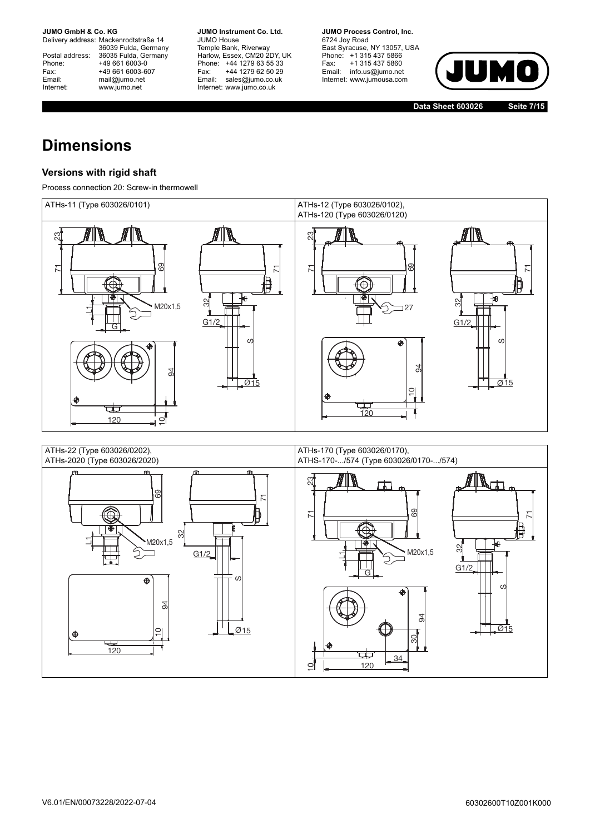Delivery address: Mackenrodtstraße 14 36039 Fulda, Germany Postal address: 36035 Fulda, Germany Postal address: 36035 Fulda, Ge<br>
Phone: +49 661 6003-0<br>
Fax: +49 661 6003-6<br>
Email: mail@jumo.net +49 661 6003-607 mail@jumo.net Internet: www.jumo.net

**JUMO Instrument Co. Ltd.** JUMO House Temple Bank, Riverway Harlow, Essex, CM20 2DY, UK Phone: +44 1279 63 55 33 Fax: +44 1279 62 50 29 Email: sales@jumo.co.uk Internet: www.jumo.co.uk

**JUMO Process Control, Inc.** 6724 Joy Road East Syracuse, NY 13057, USA Phone: +1 315 437 5866 Fax: +1 315 437 5860 Email: info.us@jumo.net Internet: www.jumousa.com



**Data Sheet 603026**

**Seite 7/15**

# **Dimensions**

### **Versions with rigid shaft**

Process connection 20: Screw-in thermowell



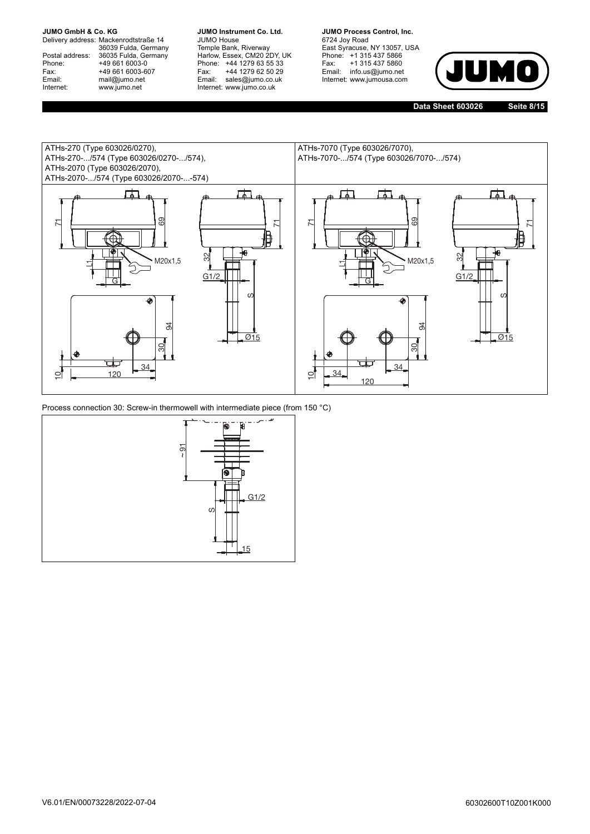Delivery address: Mackenrodtstraße 14 36039 Fulda, Germany Postal address: 36035 Fulda, Germany Postal address: 36035 Fulda, Ge<br>Phone: +49 661 6003-0 Fax: +49 661 6003-607 Email: mail@jumo.net Internet: www.jumo.net

**JUMO Instrument Co. Ltd.** JUMO House Temple Bank, Riverway Harlow, Essex, CM20 2DY, UK Phone: +44 1279 63 55 33 Fax: +44 1279 62 50 29 Email: sales@jumo.co.uk Internet: www.jumo.co.uk

**JUMO Process Control, Inc.** 6724 Joy Road East Syracuse, NY 13057, USA Phone: +1 315 437 5866 Fax: +1 315 437 5860 Email: info.us@jumo.net Internet: www.jumousa.com



**Data Sheet 603026**

**Seite 8/15**



Process connection 30: Screw-in thermowell with intermediate piece (from 150 °C)

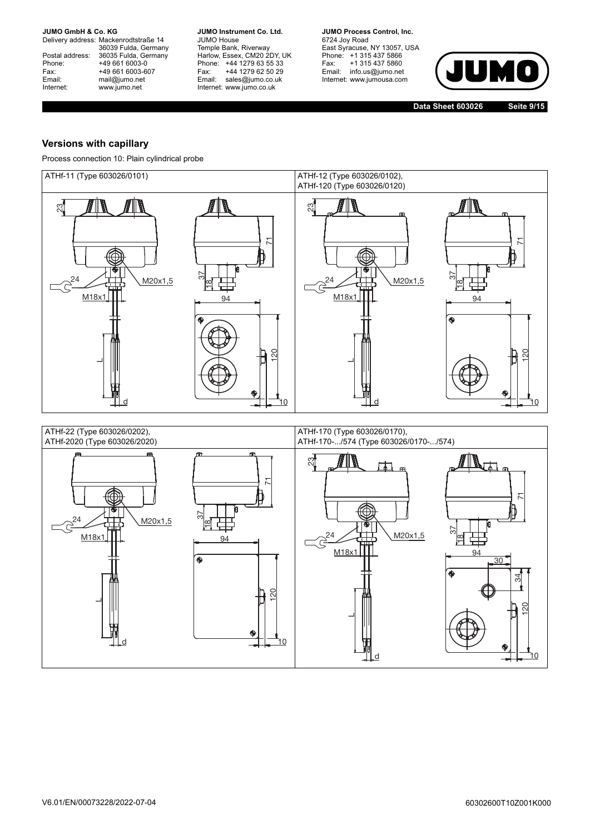Delivery address: Mackenrodtstraße 14 36039 Fulda, Germany Postal address: 36035 Fulda, Germany Postal address: 36035 Fulda, Ge<br>
Phone: +49 661 6003-0<br>
Fax: +49 661 6003-6<br>
Email: mail@jumo.net +49 661 6003-607 mail@jumo.net Internet: www.jumo.net

**JUMO Instrument Co. Ltd.** JUMO House Temple Bank, Riverway Harlow, Essex, CM20 2DY, UK Phone: +44 1279 63 55 33 Fax: +44 1279 62 50 29 Email: sales@jumo.co.uk Internet: www.jumo.co.uk

**JUMO Process Control, Inc.** 6724 Joy Road East Syracuse, NY 13057, USA Phone: +1 315 437 5866 Fax: +1 315 437 5860 Email: info.us@jumo.net Internet: www.jumousa.com



**Data Sheet 603026**

**Seite 9/15**

### **Versions with capillary**

Process connection 10: Plain cylindrical probe

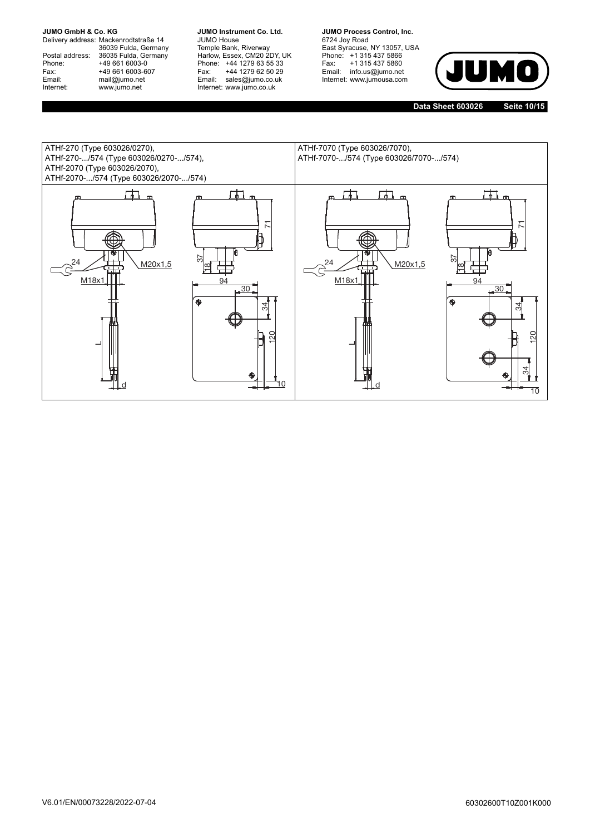Delivery address: Mackenrodtstraße 14 36039 Fulda, Germany Postal address: 36035 Fulda, Germany Postal address: 36035 Fulda, Ge<br>
Phone: +49 661 6003-0<br>
Fax: +49 661 6003-6<br>
Email: mail@jumo.net +49 661 6003-607 mail@jumo.net Internet: www.jumo.net

**JUMO Instrument Co. Ltd.** JUMO House Temple Bank, Riverway Harlow, Essex, CM20 2DY, UK Phone: +44 1279 63 55 33 Fax: +44 1279 62 50 29 Email: sales@jumo.co.uk Internet: www.jumo.co.uk

**JUMO Process Control, Inc.** 6724 Joy Road East Syracuse, NY 13057, USA Phone: +1 315 437 5866 Fax: +1 315 437 5860 Email: info.us@jumo.net Internet: www.jumousa.com



**Data Sheet 603026 Seite 10/15**

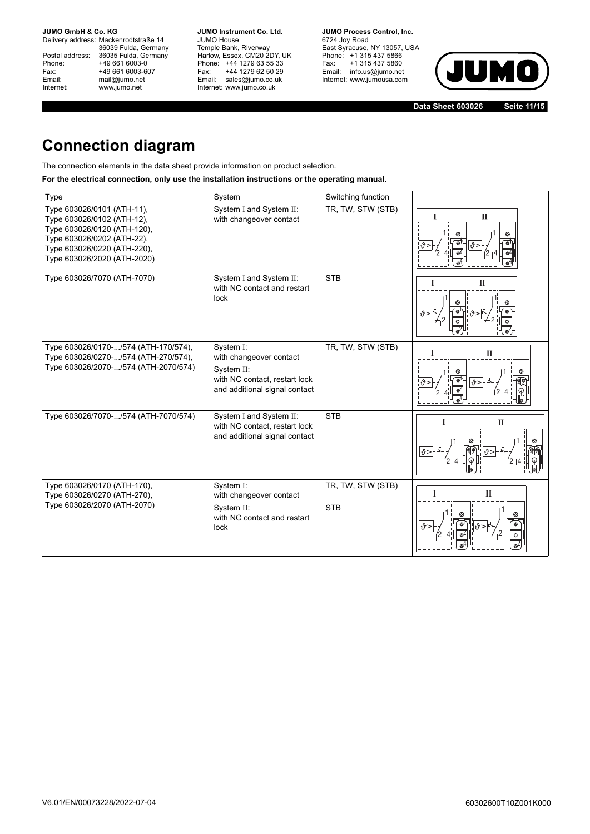Delivery address: Mackenrodtstraße 14 36039 Fulda, Germany Postal address: 36035 Fulda, Germany Phone: +49 661 6003-0<br>
Fax: +49 661 6003-6<br>
Email: mail@jumo.net +49 661 6003-607 mail@jumo.net Internet: www.jumo.net

**JUMO Instrument Co. Ltd.** JUMO House Temple Bank, Riverway Harlow, Essex, CM20 2DY, UK Phone: +44 1279 63 55 33 Fax: +44 1279 62 50 29 Email: sales@jumo.co.uk Internet: www.jumo.co.uk

**JUMO Process Control, Inc.** 6724 Joy Road East Syracuse, NY 13057, USA Phone: +1 315 437 5866 Fax: +1 315 437 5860 Email: info.us@jumo.net Internet: www.jumousa.com



**Data Sheet 603026 Seite 11/15**

# **Connection diagram**

The connection elements in the data sheet provide information on product selection.

### **For the electrical connection, only use the installation instructions or the operating manual.**

| Type                                                                                                                                                                                | System                                                                                    | Switching function |                   |
|-------------------------------------------------------------------------------------------------------------------------------------------------------------------------------------|-------------------------------------------------------------------------------------------|--------------------|-------------------|
| Type 603026/0101 (ATH-11),<br>Type 603026/0102 (ATH-12),<br>Type 603026/0120 (ATH-120),<br>Type 603026/0202 (ATH-22),<br>Type 603026/0220 (ATH-220),<br>Type 603026/2020 (ATH-2020) | System I and System II:<br>with changeover contact                                        | TR, TW, STW (STB)  | П                 |
| Type 603026/7070 (ATH-7070)                                                                                                                                                         | System I and System II:<br>with NC contact and restart<br>lock                            | <b>STB</b>         | $\mathbf{I}$      |
| Type 603026/0170-/574 (ATH-170/574),<br>Type 603026/0270-/574 (ATH-270/574),                                                                                                        | System I:<br>with changeover contact                                                      | TR, TW, STW (STB)  | П                 |
| Type 603026/2070-/574 (ATH-2070/574)                                                                                                                                                | System II:<br>with NC contact, restart lock<br>and additional signal contact              |                    | า9ิ >             |
| Type 603026/7070-/574 (ATH-7070/574)                                                                                                                                                | System I and System II:<br>with NC contact, restart lock<br>and additional signal contact | <b>STB</b>         | $\mathbf{I}$      |
| Type 603026/0170 (ATH-170),<br>Type 603026/0270 (ATH-270),                                                                                                                          | System I:<br>with changeover contact                                                      | TR, TW, STW (STB)  | I<br>$\mathbf{I}$ |
| Type 603026/2070 (ATH-2070)                                                                                                                                                         | System II:<br>with NC contact and restart<br>lock                                         | <b>STB</b>         |                   |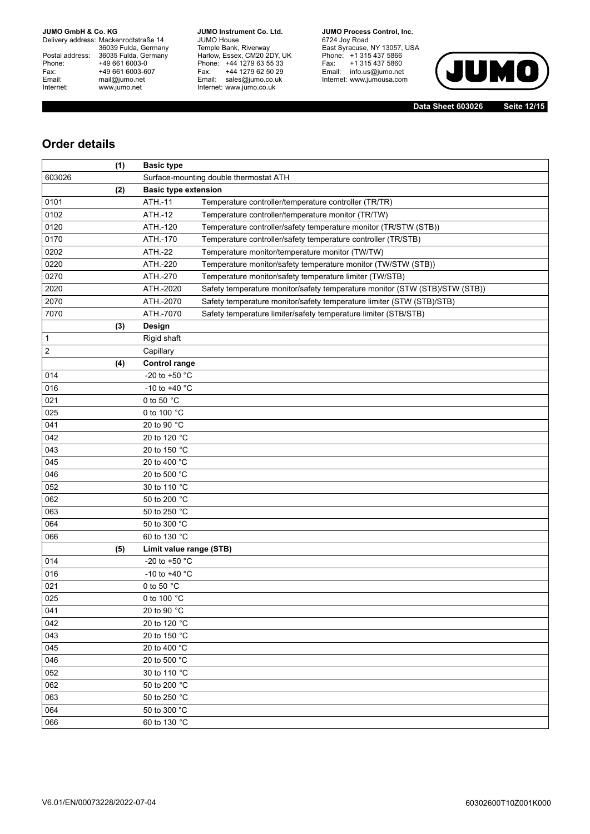Delivery address: Mackenrodtstraße 14 36039 Fulda, Germany Postal address: 36035 Fulda, Germany Phone: +49 661 6003-0<br>
Fax: +49 661 6003-6<br>
Email: mail@jumo.net +49 661 6003-607 mail@jumo.net Internet: www.jumo.net

**JUMO Instrument Co. Ltd.** JUMO House Temple Bank, Riverway Harlow, Essex, CM20 2DY, UK Phone: +44 1279 63 55 33 Fax: +44 1279 62 50 29 Email: sales@jumo.co.uk Internet: www.jumo.co.uk

**JUMO Process Control, Inc.** 6724 Joy Road East Syracuse, NY 13057, USA Phone: +1 315 437 5866 Fax: +1 315 437 5860 Email: info.us@jumo.net Internet: www.jumousa.com



**Data Sheet 603026 Seite 12/15**

# **Order details**

|                | (1) | <b>Basic type</b>       |                                                                             |  |  |
|----------------|-----|-------------------------|-----------------------------------------------------------------------------|--|--|
| 603026         |     |                         | Surface-mounting double thermostat ATH                                      |  |  |
|                | (2) |                         | <b>Basic type extension</b>                                                 |  |  |
| 0101           |     | ATH.-11                 | Temperature controller/temperature controller (TR/TR)                       |  |  |
| 0102           |     | ATH .- 12               | Temperature controller/temperature monitor (TR/TW)                          |  |  |
| 0120           |     | ATH.-120                | Temperature controller/safety temperature monitor (TR/STW (STB))            |  |  |
| 0170           |     | ATH.-170                | Temperature controller/safety temperature controller (TR/STB)               |  |  |
| 0202           |     | <b>ATH.-22</b>          | Temperature monitor/temperature monitor (TW/TW)                             |  |  |
| 0220           |     | ATH.-220                | Temperature monitor/safety temperature monitor (TW/STW (STB))               |  |  |
| 0270           |     | ATH.-270                | Temperature monitor/safety temperature limiter (TW/STB)                     |  |  |
| 2020           |     | ATH.-2020               | Safety temperature monitor/safety temperature monitor (STW (STB)/STW (STB)) |  |  |
| 2070           |     | ATH.-2070               | Safety temperature monitor/safety temperature limiter (STW (STB)/STB)       |  |  |
| 7070           |     | ATH.-7070               | Safety temperature limiter/safety temperature limiter (STB/STB)             |  |  |
|                | (3) | Design                  |                                                                             |  |  |
| 1              |     | Rigid shaft             |                                                                             |  |  |
| $\overline{c}$ |     | Capillary               |                                                                             |  |  |
|                | (4) | <b>Control range</b>    |                                                                             |  |  |
| 014            |     | -20 to +50 °C           |                                                                             |  |  |
| 016            |     | -10 to +40 $^{\circ}$ C |                                                                             |  |  |
| 021            |     | 0 to 50 °C              |                                                                             |  |  |
| 025            |     | 0 to 100 °C             |                                                                             |  |  |
| 041            |     | 20 to 90 °C             |                                                                             |  |  |
| 042            |     | 20 to 120 °C            |                                                                             |  |  |
| 043            |     | 20 to 150 °C            |                                                                             |  |  |
| 045            |     | 20 to 400 °C            |                                                                             |  |  |
| 046            |     | 20 to 500 °C            |                                                                             |  |  |
| 052            |     | 30 to 110 °C            |                                                                             |  |  |
| 062            |     | 50 to 200 °C            |                                                                             |  |  |
| 063            |     | 50 to 250 °C            |                                                                             |  |  |
| 064            |     | 50 to 300 °C            |                                                                             |  |  |
| 066            |     | 60 to 130 °C            |                                                                             |  |  |
|                | (5) | Limit value range (STB) |                                                                             |  |  |
| 014            |     | -20 to +50 °C           |                                                                             |  |  |
| 016            |     | -10 to +40 $^{\circ}$ C |                                                                             |  |  |
| 021            |     | 0 to 50 °C              |                                                                             |  |  |
| 025            |     | 0 to 100 °C             |                                                                             |  |  |
| 041            |     | 20 to 90 °C             |                                                                             |  |  |
| 042            |     | 20 to 120 °C            |                                                                             |  |  |
| 043            |     | 20 to 150 °C            |                                                                             |  |  |
| 045            |     | 20 to 400 °C            |                                                                             |  |  |
| 046            |     | 20 to 500 °C            |                                                                             |  |  |
| 052            |     | 30 to 110 °C            |                                                                             |  |  |
| 062            |     | 50 to 200 °C            |                                                                             |  |  |
| 063            |     | 50 to 250 °C            |                                                                             |  |  |
| 064            |     | 50 to 300 °C            |                                                                             |  |  |
| 066            |     | 60 to 130 °C            |                                                                             |  |  |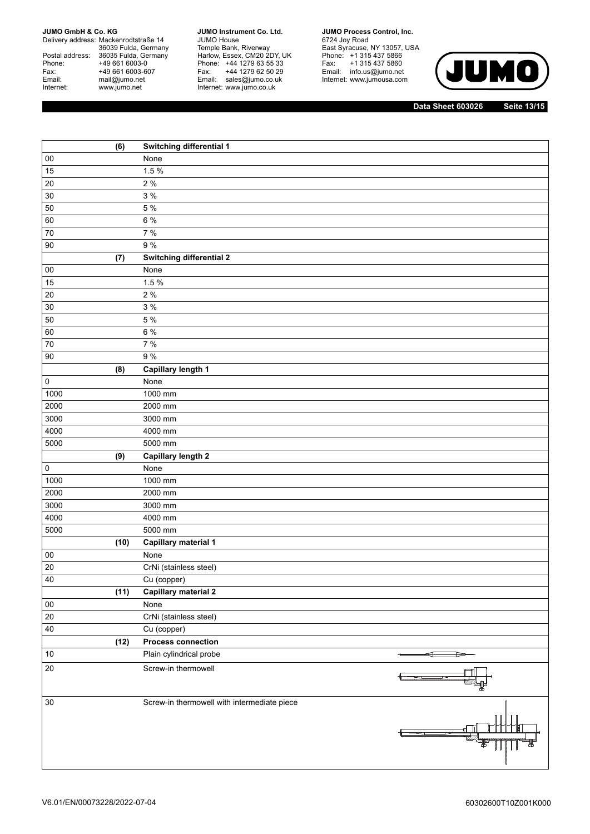Delivery address: Mackenrodtstraße 14 36039 Fulda, Germany Postal address: 36035 Fulda, Germany Phone: +49 661 6003-0<br>
Fax: +49 661 6003-6<br>
Email: mail@jumo.net +49 661 6003-607 mail@jumo.net Internet: www.jumo.net

**JUMO Instrument Co. Ltd.** JUMO House Temple Bank, Riverway Harlow, Essex, CM20 2DY, UK Phone: +44 1279 63 55 33 Fax: +44 1279 62 50 29 Fax: +44 1279 62 50 29<br>Email: sales@jumo.co.uk Internet: www.jumo.co.uk

**JUMO Process Control, Inc.** 6724 Joy Road East Syracuse, NY 13057, USA Phone: +1 315 437 5866 Fax: +1 315 437 5860 Email: info.us@jumo.net

Internet: www.jumousa.com



**Data Sheet 603026 Seite 13/15**

|                     | (6)  | Switching differential 1                    |        |
|---------------------|------|---------------------------------------------|--------|
| $00\,$              |      | None                                        |        |
| 15                  |      | 1.5%                                        |        |
| $20\,$              |      | 2%                                          |        |
| $30\,$              |      | 3 %                                         |        |
| 50                  |      | 5 %                                         |        |
| 60                  |      | 6 %                                         |        |
| $70\,$              |      | 7%                                          |        |
| $90\,$              |      | 9%                                          |        |
|                     | (7)  | Switching differential 2                    |        |
| $00\,$              |      | None                                        |        |
| 15                  |      | 1.5 %                                       |        |
| $20\,$              |      | 2 %                                         |        |
| 30                  |      | 3 %                                         |        |
| 50                  |      | 5 %                                         |        |
| 60                  |      | 6 %                                         |        |
| 70                  |      | 7 %                                         |        |
| $90\,$              |      | 9%                                          |        |
|                     | (8)  | Capillary length 1                          |        |
| $\mathsf{O}\xspace$ |      | None                                        |        |
| 1000                |      | 1000 mm                                     |        |
| 2000                |      | 2000 mm                                     |        |
| 3000                |      | 3000 mm                                     |        |
| 4000                |      | 4000 mm                                     |        |
| 5000                |      | 5000 mm                                     |        |
|                     | (9)  | <b>Capillary length 2</b>                   |        |
| $\mathsf{O}\xspace$ |      | None                                        |        |
| 1000                |      | 1000 mm                                     |        |
| 2000                |      | 2000 mm                                     |        |
| 3000                |      | 3000 mm                                     |        |
| 4000                |      | 4000 mm                                     |        |
| 5000                |      | 5000 mm                                     |        |
|                     | (10) | <b>Capillary material 1</b>                 |        |
| $00\,$              |      | None                                        |        |
| 20                  |      | CrNi (stainless steel)                      |        |
| 40                  |      | Cu (copper)                                 |        |
|                     | (11) | <b>Capillary material 2</b>                 |        |
| ${\bf 00}$          |      | None                                        |        |
| $20\,$              |      | CrNi (stainless steel)                      |        |
| 40                  |      | Cu (copper)                                 |        |
|                     | (12) | <b>Process connection</b>                   |        |
| $10$                |      | Plain cylindrical probe                     | ਜ<br>ਿ |
| $20\,$              |      | Screw-in thermowell                         |        |
|                     |      |                                             |        |
| 30                  |      | Screw-in thermowell with intermediate piece |        |
|                     |      |                                             |        |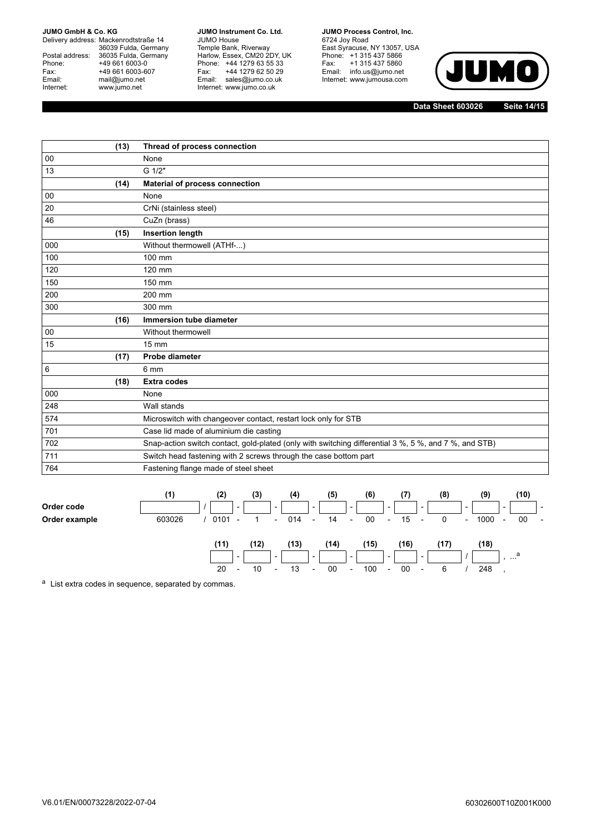Delivery address: Mackenrodtstraße 14 36039 Fulda, Germany Postal address: 36035 Fulda, Germany Postal address: 36035 Fulda, Ge<br>Phone: +49 661 6003-0 Fax: +49 661 6003-607<br>Email: mail@jumo.net mail@jumo.net Internet: www.jumo.net

**JUMO Instrument Co. Ltd.** JUMO House Temple Bank, Riverway Harlow, Essex, CM20 2DY, UK Phone: +44 1279 63 55 33 Fax: +44 1279 62 50 29 Email: sales@jumo.co.uk Internet: www.jumo.co.uk

**JUMO Process Control, Inc.** 6724 Joy Road East Syracuse, NY 13057, USA Phone: +1 315 437 5866 Fax: +1 315 437 5860 Email: info.us@jumo.net Internet: www.jumousa.com



**Data Sheet 603026 Seite 14/15**

|     | (13) | Thread of process connection                                                                          |
|-----|------|-------------------------------------------------------------------------------------------------------|
| 00  |      | None                                                                                                  |
| 13  |      | G 1/2"                                                                                                |
|     | (14) | <b>Material of process connection</b>                                                                 |
| 00  |      | None                                                                                                  |
| 20  |      | CrNi (stainless steel)                                                                                |
| 46  |      | CuZn (brass)                                                                                          |
|     | (15) | <b>Insertion length</b>                                                                               |
| 000 |      | Without thermowell (ATHf-)                                                                            |
| 100 |      | 100 mm                                                                                                |
| 120 |      | 120 mm                                                                                                |
| 150 |      | 150 mm                                                                                                |
| 200 |      | 200 mm                                                                                                |
| 300 |      | 300 mm                                                                                                |
|     | (16) | <b>Immersion tube diameter</b>                                                                        |
| 00  |      | Without thermowell                                                                                    |
| 15  |      | $15 \text{ mm}$                                                                                       |
|     | (17) | Probe diameter                                                                                        |
| 6   |      | 6 mm                                                                                                  |
|     | (18) | <b>Extra codes</b>                                                                                    |
| 000 |      | None                                                                                                  |
| 248 |      | Wall stands                                                                                           |
| 574 |      | Microswitch with changeover contact, restart lock only for STB                                        |
| 701 |      | Case lid made of aluminium die casting                                                                |
| 702 |      | Snap-action switch contact, gold-plated (only with switching differential 3 %, 5 %, and 7 %, and STB) |
| 711 |      | Switch head fastening with 2 screws through the case bottom part                                      |
| 764 |      | Fastening flange made of steel sheet                                                                  |



<sup>a</sup> List extra codes in sequence, separated by commas.